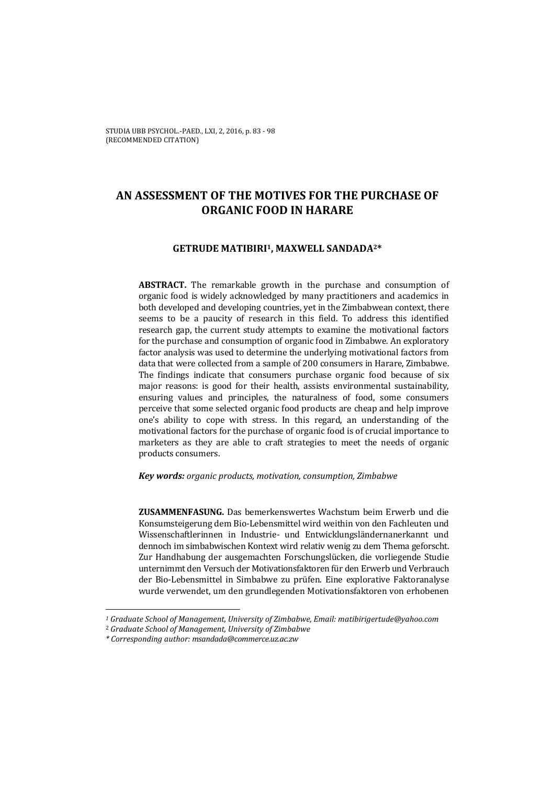# **AN ASSESSMENT OF THE MOTIVES FOR THE PURCHASE OF ORGANIC FOOD IN HARARE**

## **GETRUDE MATIBIRI1, MAXWELL SANDADA2\***

**ABSTRACT.** The remarkable growth in the purchase and consumption of organic food is widely acknowledged by many practitioners and academics in both developed and developing countries, yet in the Zimbabwean context, there seems to be a paucity of research in this field. To address this identified research gap, the current study attempts to examine the motivational factors for the purchase and consumption of organic food in Zimbabwe. An exploratory factor analysis was used to determine the underlying motivational factors from data that were collected from a sample of 200 consumers in Harare, Zimbabwe. The findings indicate that consumers purchase organic food because of six major reasons: is good for their health, assists environmental sustainability, ensuring values and principles, the naturalness of food, some consumers perceive that some selected organic food products are cheap and help improve one's ability to cope with stress. In this regard, an understanding of the motivational factors for the purchase of organic food is of crucial importance to marketers as they are able to craft strategies to meet the needs of organic products consumers.

### *Key words: organic products, motivation, consumption, Zimbabwe*

**ZUSAMMENFASUNG.** Das bemerkenswertes Wachstum beim Erwerb und die Konsumsteigerung dem Bio-Lebensmittel wird weithin von den Fachleuten und Wissenschaftlerinnen in Industrie- und Entwicklungsländernanerkannt und dennoch im simbabwischen Kontext wird relativ wenig zu dem Thema geforscht. Zur Handhabung der ausgemachten Forschungslücken, die vorliegende Studie unternimmt den Versuch der Motivationsfaktoren für den Erwerb und Verbrauch der Bio-Lebensmittel in Simbabwe zu prüfen. Eine explorative Faktoranalyse wurde verwendet, um den grundlegenden Motivationsfaktoren von erhobenen

*<sup>1</sup> Graduate School of Management, University of Zimbabwe, Email: matibirigertude@yahoo.com*

<sup>2</sup> *Graduate School of Management, University of Zimbabwe*

*<sup>\*</sup> Corresponding author: msandada@commerce.uz.ac.zw*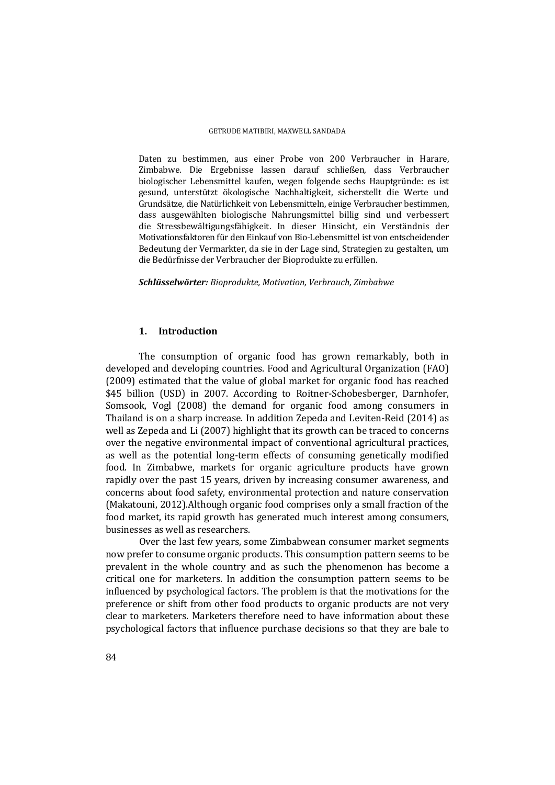#### GETRUDE MATIBIRI, MAXWELL SANDADA

Daten zu bestimmen, aus einer Probe von 200 Verbraucher in Harare, Zimbabwe. Die Ergebnisse lassen darauf schließen, dass Verbraucher biologischer Lebensmittel kaufen, wegen folgende sechs Hauptgründe: es ist gesund, unterstützt ökologische Nachhaltigkeit, sicherstellt die Werte und Grundsätze, die Natürlichkeit von Lebensmitteln, einige Verbraucher bestimmen, dass ausgewählten biologische Nahrungsmittel billig sind und verbessert die Stressbewältigungsfähigkeit. In dieser Hinsicht, ein Verständnis der Motivationsfaktoren für den Einkauf von Bio-Lebensmittel ist von entscheidender Bedeutung der Vermarkter, da sie in der Lage sind, Strategien zu gestalten, um die Bedürfnisse der Verbraucher der Bioprodukte zu erfüllen.

*Schlüsselwörter: Bioprodukte, Motivation, Verbrauch, Zimbabwe*

## **1. Introduction**

The consumption of organic food has grown remarkably, both in developed and developing countries. Food and Agricultural Organization (FAO) (2009) estimated that the value of global market for organic food has reached \$45 billion (USD) in 2007. According to Roitner-Schobesberger, Darnhofer, Somsook, Vogl (2008) the demand for organic food among consumers in Thailand is on a sharp increase. In addition Zepeda and Leviten-Reid (2014) as well as Zepeda and Li  $(2007)$  highlight that its growth can be traced to concerns over the negative environmental impact of conventional agricultural practices, as well as the potential long-term effects of consuming genetically modified food. In Zimbabwe, markets for organic agriculture products have grown rapidly over the past 15 years, driven by increasing consumer awareness, and concerns about food safety, environmental protection and nature conservation (Makatouni, 2012). Although organic food comprises only a small fraction of the food market, its rapid growth has generated much interest among consumers, businesses as well as researchers.

Over the last few years, some Zimbabwean consumer market segments now prefer to consume organic products. This consumption pattern seems to be prevalent in the whole country and as such the phenomenon has become a critical one for marketers. In addition the consumption pattern seems to be influenced by psychological factors. The problem is that the motivations for the preference or shift from other food products to organic products are not very clear to marketers. Marketers therefore need to have information about these psychological factors that influence purchase decisions so that they are bale to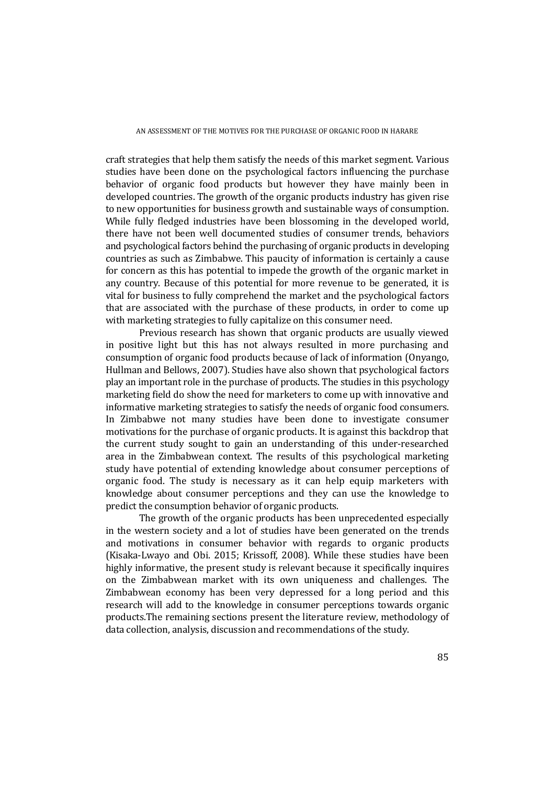craft strategies that help them satisfy the needs of this market segment. Various studies have been done on the psychological factors influencing the purchase behavior of organic food products but however they have mainly been in developed countries. The growth of the organic products industry has given rise to new opportunities for business growth and sustainable ways of consumption. While fully fledged industries have been blossoming in the developed world, there have not been well documented studies of consumer trends, behaviors and psychological factors behind the purchasing of organic products in developing countries as such as Zimbabwe. This paucity of information is certainly a cause for concern as this has potential to impede the growth of the organic market in any country. Because of this potential for more revenue to be generated, it is vital for business to fully comprehend the market and the psychological factors that are associated with the purchase of these products, in order to come up with marketing strategies to fully capitalize on this consumer need.

Previous research has shown that organic products are usually viewed in positive light but this has not always resulted in more purchasing and consumption of organic food products because of lack of information (Onyango, Hullman and Bellows, 2007). Studies have also shown that psychological factors play an important role in the purchase of products. The studies in this psychology marketing field do show the need for marketers to come up with innovative and informative marketing strategies to satisfy the needs of organic food consumers. In Zimbabwe not many studies have been done to investigate consumer motivations for the purchase of organic products. It is against this backdrop that the current study sought to gain an understanding of this under-researched area in the Zimbabwean context. The results of this psychological marketing study have potential of extending knowledge about consumer perceptions of organic food. The study is necessary as it can help equip marketers with knowledge about consumer perceptions and they can use the knowledge to predict the consumption behavior of organic products.

The growth of the organic products has been unprecedented especially in the western society and a lot of studies have been generated on the trends and motivations in consumer behavior with regards to organic products (Kisaka-Lwayo and Obi. 2015; Krissoff, 2008). While these studies have been highly informative, the present study is relevant because it specifically inquires on the Zimbabwean market with its own uniqueness and challenges. The Zimbabwean economy has been very depressed for a long period and this research will add to the knowledge in consumer perceptions towards organic products. The remaining sections present the literature review, methodology of data collection, analysis, discussion and recommendations of the study.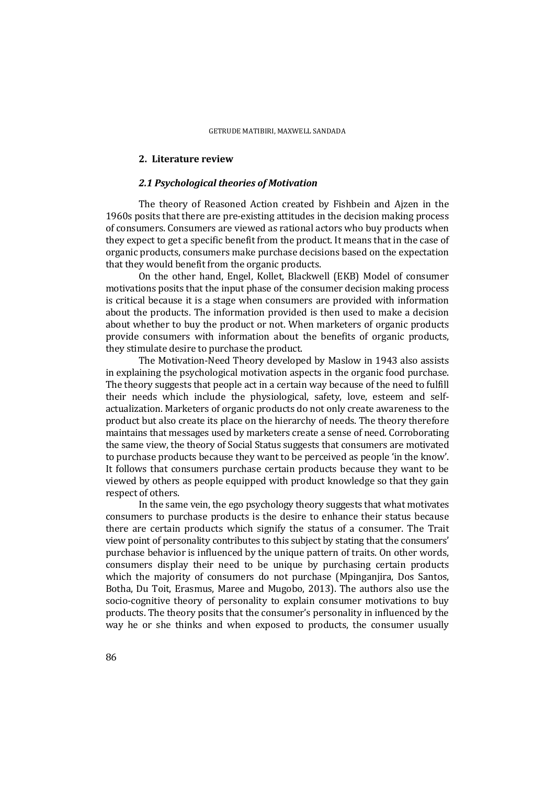### **2. Literature review**

### *2.1 Psychological theories of Motivation*

The theory of Reasoned Action created by Fishbein and Ajzen in the 1960s posits that there are pre-existing attitudes in the decision making process of consumers. Consumers are viewed as rational actors who buy products when they expect to get a specific benefit from the product. It means that in the case of organic products, consumers make purchase decisions based on the expectation that they would benefit from the organic products.

On the other hand, Engel, Kollet, Blackwell (EKB) Model of consumer motivations posits that the input phase of the consumer decision making process is critical because it is a stage when consumers are provided with information about the products. The information provided is then used to make a decision about whether to buy the product or not. When marketers of organic products provide consumers with information about the benefits of organic products, they stimulate desire to purchase the product.

The Motivation-Need Theory developed by Maslow in 1943 also assists in explaining the psychological motivation aspects in the organic food purchase. The theory suggests that people act in a certain way because of the need to fulfill their needs which include the physiological, safety, love, esteem and selfactualization. Marketers of organic products do not only create awareness to the product but also create its place on the hierarchy of needs. The theory therefore maintains that messages used by marketers create a sense of need. Corroborating the same view, the theory of Social Status suggests that consumers are motivated to purchase products because they want to be perceived as people 'in the know'. It follows that consumers purchase certain products because they want to be viewed by others as people equipped with product knowledge so that they gain respect of others.

In the same vein, the ego psychology theory suggests that what motivates consumers to purchase products is the desire to enhance their status because there are certain products which signify the status of a consumer. The Trait view point of personality contributes to this subject by stating that the consumers' purchase behavior is influenced by the unique pattern of traits. On other words, consumers display their need to be unique by purchasing certain products which the majority of consumers do not purchase (Mpinganjira, Dos Santos, Botha, Du Toit, Erasmus, Maree and Mugobo, 2013). The authors also use the socio-cognitive theory of personality to explain consumer motivations to buy products. The theory posits that the consumer's personality in influenced by the way he or she thinks and when exposed to products, the consumer usually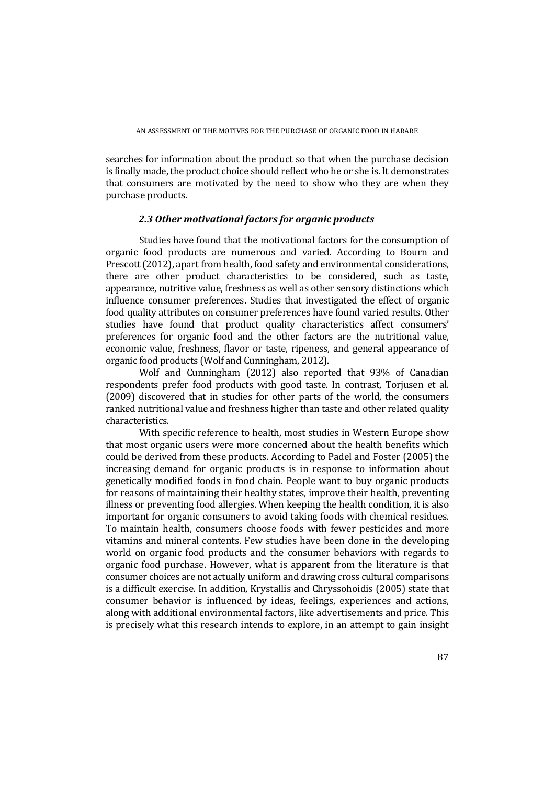searches for information about the product so that when the purchase decision is finally made, the product choice should reflect who he or she is. It demonstrates that consumers are motivated by the need to show who they are when they purchase products.

## *2.3 Other motivational factors for organic products*

Studies have found that the motivational factors for the consumption of organic food products are numerous and varied. According to Bourn and Prescott (2012), apart from health, food safety and environmental considerations, there are other product characteristics to be considered, such as taste, appearance, nutritive value, freshness as well as other sensory distinctions which influence consumer preferences. Studies that investigated the effect of organic food quality attributes on consumer preferences have found varied results. Other studies have found that product quality characteristics affect consumers' preferences for organic food and the other factors are the nutritional value, economic value, freshness, flavor or taste, ripeness, and general appearance of organic food products (Wolf and Cunningham, 2012).

Wolf and Cunningham (2012) also reported that 93% of Canadian respondents prefer food products with good taste. In contrast, Torjusen et al. (2009) discovered that in studies for other parts of the world, the consumers ranked nutritional value and freshness higher than taste and other related quality characteristics. 

With specific reference to health, most studies in Western Europe show that most organic users were more concerned about the health benefits which could be derived from these products. According to Padel and Foster (2005) the increasing demand for organic products is in response to information about genetically modified foods in food chain. People want to buy organic products for reasons of maintaining their healthy states, improve their health, preventing illness or preventing food allergies. When keeping the health condition, it is also important for organic consumers to avoid taking foods with chemical residues. To maintain health, consumers choose foods with fewer pesticides and more vitamins and mineral contents. Few studies have been done in the developing world on organic food products and the consumer behaviors with regards to organic food purchase. However, what is apparent from the literature is that consumer choices are not actually uniform and drawing cross cultural comparisons is a difficult exercise. In addition, Krystallis and Chryssohoidis (2005) state that consumer behavior is influenced by ideas, feelings, experiences and actions, along with additional environmental factors, like advertisements and price. This is precisely what this research intends to explore, in an attempt to gain insight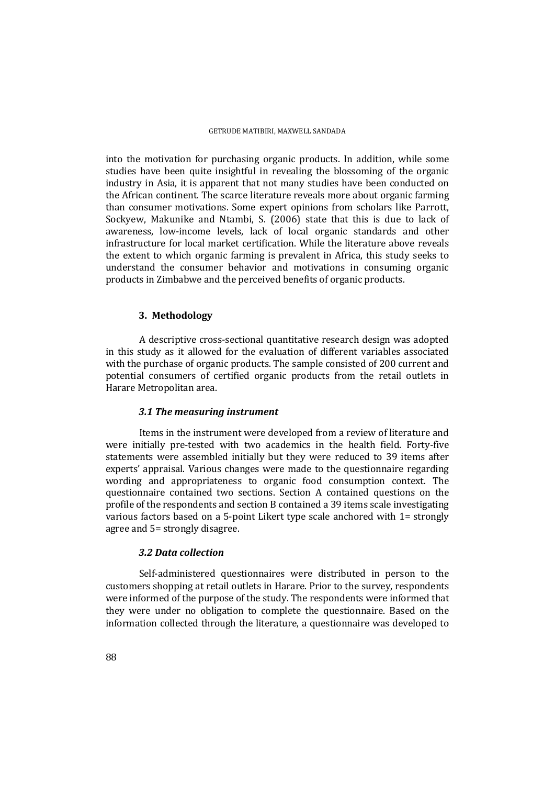into the motivation for purchasing organic products. In addition, while some studies have been quite insightful in revealing the blossoming of the organic industry in Asia, it is apparent that not many studies have been conducted on the African continent. The scarce literature reveals more about organic farming than consumer motivations. Some expert opinions from scholars like Parrott, Sockyew, Makunike and Ntambi, S. (2006) state that this is due to lack of awareness, low-income levels, lack of local organic standards and other infrastructure for local market certification. While the literature above reveals the extent to which organic farming is prevalent in Africa, this study seeks to understand the consumer behavior and motivations in consuming organic products in Zimbabwe and the perceived benefits of organic products.

### **3. Methodology**

A descriptive cross-sectional quantitative research design was adopted in this study as it allowed for the evaluation of different variables associated with the purchase of organic products. The sample consisted of 200 current and potential consumers of certified organic products from the retail outlets in Harare Metropolitan area.

## *3.1 The measuring instrument*

Items in the instrument were developed from a review of literature and were initially pre-tested with two academics in the health field. Forty-five statements were assembled initially but they were reduced to 39 items after experts' appraisal. Various changes were made to the questionnaire regarding wording and appropriateness to organic food consumption context. The questionnaire contained two sections. Section A contained questions on the profile of the respondents and section B contained a 39 items scale investigating various factors based on a 5-point Likert type scale anchored with  $1=$  strongly agree and 5= strongly disagree.

## *3.2 Data collection*

Self-administered questionnaires were distributed in person to the customers shopping at retail outlets in Harare. Prior to the survey, respondents were informed of the purpose of the study. The respondents were informed that they were under no obligation to complete the questionnaire. Based on the information collected through the literature, a questionnaire was developed to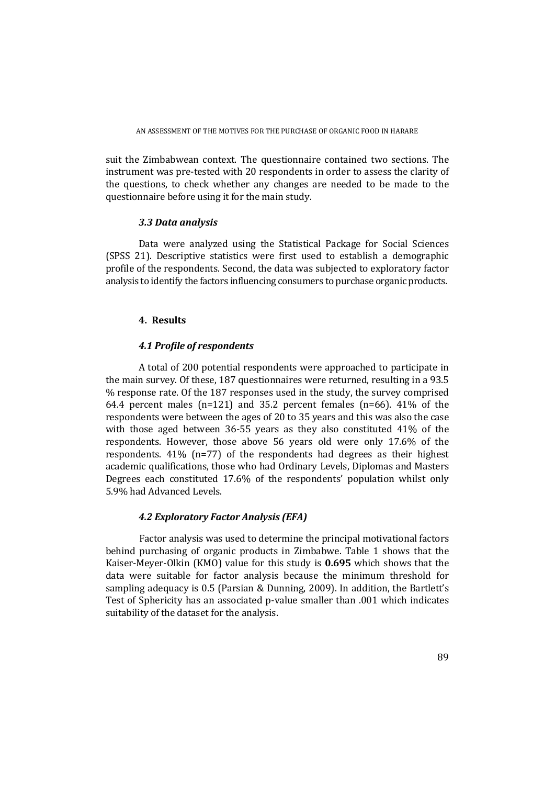suit the Zimbabwean context. The questionnaire contained two sections. The instrument was pre-tested with 20 respondents in order to assess the clarity of the questions, to check whether any changes are needed to be made to the questionnaire before using it for the main study.

## *3.3 Data analysis*

Data were analyzed using the Statistical Package for Social Sciences (SPSS 21). Descriptive statistics were first used to establish a demographic profile of the respondents. Second, the data was subjected to exploratory factor analysis to identify the factors influencing consumers to purchase organic products.

## **4. Results**

# *4.1 Profile of respondents*

A total of 200 potential respondents were approached to participate in the main survey. Of these, 187 questionnaires were returned, resulting in a 93.5 % response rate. Of the 187 responses used in the study, the survey comprised 64.4 percent males  $(n=121)$  and 35.2 percent females  $(n=66)$ . 41% of the respondents were between the ages of 20 to 35 years and this was also the case with those aged between  $36-55$  years as they also constituted  $41\%$  of the respondents. However, those above 56 years old were only 17.6% of the respondents.  $41\%$  (n=77) of the respondents had degrees as their highest academic qualifications, those who had Ordinary Levels, Diplomas and Masters Degrees each constituted 17.6% of the respondents' population whilst only 5.9% had Advanced Levels.

# *4.2 Exploratory Factor Analysis (EFA)*

Factor analysis was used to determine the principal motivational factors behind purchasing of organic products in Zimbabwe. Table 1 shows that the Kaiser-Meyer-Olkin (KMO) value for this study is 0.695 which shows that the data were suitable for factor analysis because the minimum threshold for sampling adequacy is 0.5 (Parsian & Dunning, 2009). In addition, the Bartlett's Test of Sphericity has an associated p-value smaller than .001 which indicates suitability of the dataset for the analysis.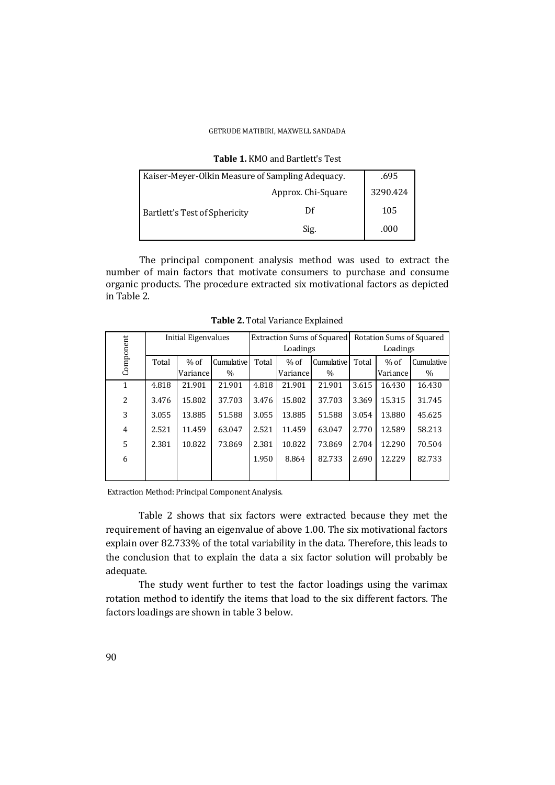#### GETRUDE MATIBIRI, MAXWELL SANDADA

| Kaiser-Meyer-Olkin Measure of Sampling Adequacy. | .695               |          |
|--------------------------------------------------|--------------------|----------|
|                                                  | Approx. Chi-Square | 3290.424 |
| <b>Bartlett's Test of Sphericity</b>             | Df                 | 105      |
|                                                  | Sig.               | .000     |

**Table 1. KMO and Bartlett's Test** 

The principal component analysis method was used to extract the number of main factors that motivate consumers to purchase and consume organic products. The procedure extracted six motivational factors as depicted in Table 2. 

|              | Initial Eigenvalues |           | Extraction Sums of Squared |          |          | Rotation Sums of Squared |          |          |            |
|--------------|---------------------|-----------|----------------------------|----------|----------|--------------------------|----------|----------|------------|
| Component    |                     |           |                            | Loadings |          |                          | Loadings |          |            |
|              | Total               | $%$ of    | Cumulative                 | Total    | $%$ of   | Cumulative               | Total    | $%$ of   | Cumulative |
|              |                     | Variancel | $\%$                       |          | Variance | $\%$                     |          | Variance | $\%$       |
| $\mathbf{1}$ | 4.818               | 21.901    | 21.901                     | 4.818    | 21.901   | 21.901                   | 3.615    | 16.430   | 16.430     |
| 2            | 3.476               | 15.802    | 37.703                     | 3.476    | 15.802   | 37.703                   | 3.369    | 15.315   | 31.745     |
| 3            | 3.055               | 13.885    | 51.588                     | 3.055    | 13.885   | 51.588                   | 3.054    | 13.880   | 45.625     |
| 4            | 2.521               | 11.459    | 63.047                     | 2.521    | 11.459   | 63.047                   | 2.770    | 12.589   | 58.213     |
| 5            | 2.381               | 10.822    | 73.869                     | 2.381    | 10.822   | 73.869                   | 2.704    | 12.290   | 70.504     |
| 6            |                     |           |                            | 1.950    | 8.864    | 82.733                   | 2.690    | 12.229   | 82.733     |
|              |                     |           |                            |          |          |                          |          |          |            |

**Table 2.** Total Variance Explained

Extraction Method: Principal Component Analysis.

Table 2 shows that six factors were extracted because they met the requirement of having an eigenvalue of above 1.00. The six motivational factors explain over 82.733% of the total variability in the data. Therefore, this leads to the conclusion that to explain the data a six factor solution will probably be adequate. 

The study went further to test the factor loadings using the varimax rotation method to identify the items that load to the six different factors. The factors loadings are shown in table 3 below.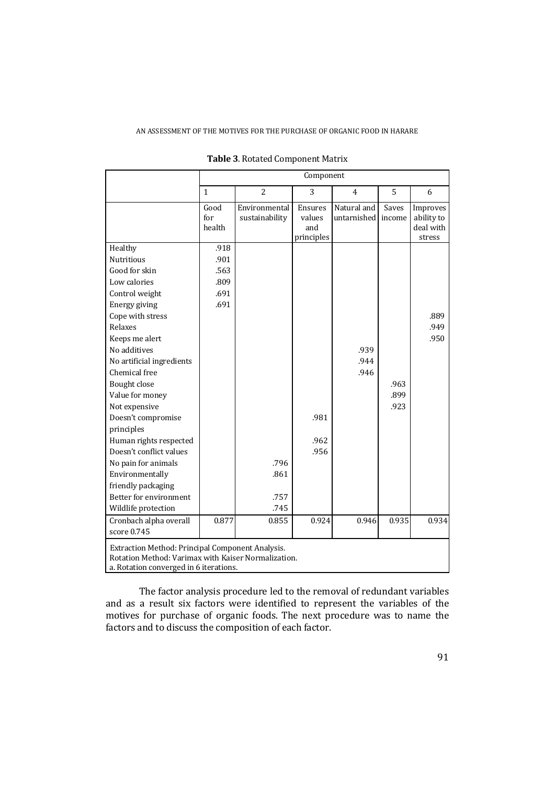|                                                                                                                                                   | Component             |                                 |                                        |                            |                 |                                               |  |  |
|---------------------------------------------------------------------------------------------------------------------------------------------------|-----------------------|---------------------------------|----------------------------------------|----------------------------|-----------------|-----------------------------------------------|--|--|
|                                                                                                                                                   | $\mathbf{1}$          | $\overline{2}$                  | 3                                      | 4                          | 5               | 6                                             |  |  |
|                                                                                                                                                   | Good<br>for<br>health | Environmental<br>sustainability | Ensures<br>values<br>and<br>principles | Natural and<br>untarnished | Saves<br>income | Improves<br>ability to<br>deal with<br>stress |  |  |
| Healthy                                                                                                                                           | .918                  |                                 |                                        |                            |                 |                                               |  |  |
| <b>Nutritious</b>                                                                                                                                 | .901                  |                                 |                                        |                            |                 |                                               |  |  |
| Good for skin                                                                                                                                     | .563                  |                                 |                                        |                            |                 |                                               |  |  |
| Low calories                                                                                                                                      | .809                  |                                 |                                        |                            |                 |                                               |  |  |
| Control weight                                                                                                                                    | .691                  |                                 |                                        |                            |                 |                                               |  |  |
| Energy giving                                                                                                                                     | .691                  |                                 |                                        |                            |                 |                                               |  |  |
| Cope with stress                                                                                                                                  |                       |                                 |                                        |                            |                 | .889                                          |  |  |
| Relaxes                                                                                                                                           |                       |                                 |                                        |                            |                 | .949                                          |  |  |
| Keeps me alert                                                                                                                                    |                       |                                 |                                        |                            |                 | .950                                          |  |  |
| No additives                                                                                                                                      |                       |                                 |                                        | .939                       |                 |                                               |  |  |
| No artificial ingredients                                                                                                                         |                       |                                 |                                        | .944                       |                 |                                               |  |  |
| Chemical free                                                                                                                                     |                       |                                 |                                        | .946                       |                 |                                               |  |  |
| <b>Bought close</b>                                                                                                                               |                       |                                 |                                        |                            | .963            |                                               |  |  |
| Value for money                                                                                                                                   |                       |                                 |                                        |                            | .899            |                                               |  |  |
| Not expensive                                                                                                                                     |                       |                                 |                                        |                            | .923            |                                               |  |  |
| Doesn't compromise                                                                                                                                |                       |                                 | .981                                   |                            |                 |                                               |  |  |
| principles                                                                                                                                        |                       |                                 |                                        |                            |                 |                                               |  |  |
| Human rights respected                                                                                                                            |                       |                                 | .962                                   |                            |                 |                                               |  |  |
| Doesn't conflict values                                                                                                                           |                       |                                 | .956                                   |                            |                 |                                               |  |  |
| No pain for animals                                                                                                                               |                       | .796                            |                                        |                            |                 |                                               |  |  |
| Environmentally                                                                                                                                   |                       | .861                            |                                        |                            |                 |                                               |  |  |
| friendly packaging                                                                                                                                |                       |                                 |                                        |                            |                 |                                               |  |  |
| Better for environment                                                                                                                            |                       | .757                            |                                        |                            |                 |                                               |  |  |
| Wildlife protection                                                                                                                               |                       | .745                            |                                        |                            |                 |                                               |  |  |
| Cronbach alpha overall                                                                                                                            | 0.877                 | 0.855                           | 0.924                                  | 0.946                      | 0.935           | 0.934                                         |  |  |
| score 0.745                                                                                                                                       |                       |                                 |                                        |                            |                 |                                               |  |  |
| Extraction Method: Principal Component Analysis.<br>Rotation Method: Varimax with Kaiser Normalization.<br>a. Rotation converged in 6 iterations. |                       |                                 |                                        |                            |                 |                                               |  |  |

**Table 3. Rotated Component Matrix** 

The factor analysis procedure led to the removal of redundant variables and as a result six factors were identified to represent the variables of the motives for purchase of organic foods. The next procedure was to name the factors and to discuss the composition of each factor.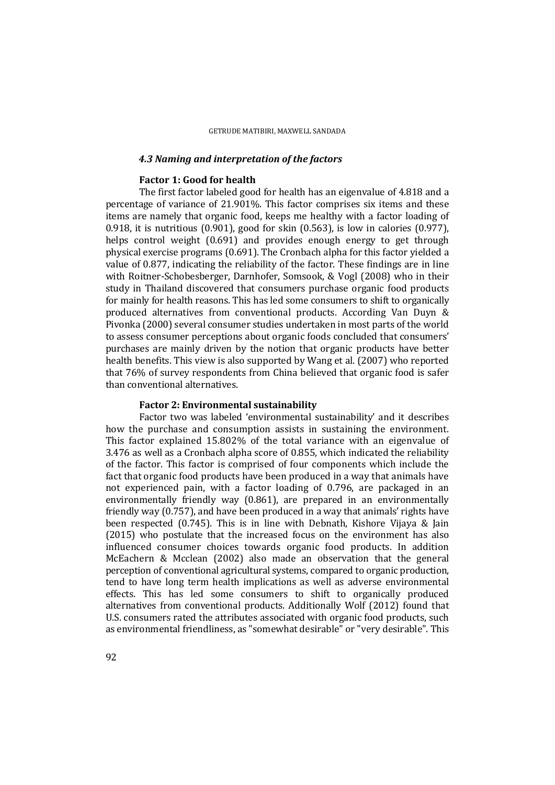### *4.3 Naming and interpretation of the factors*

### **Factor 1: Good for health**

The first factor labeled good for health has an eigenvalue of 4.818 and a percentage of variance of  $21.901\%$ . This factor comprises six items and these items are namely that organic food, keeps me healthy with a factor loading of 0.918, it is nutritious  $(0.901)$ , good for skin  $(0.563)$ , is low in calories  $(0.977)$ , helps control weight  $(0.691)$  and provides enough energy to get through physical exercise programs  $(0.691)$ . The Cronbach alpha for this factor yielded a value of  $0.877$ , indicating the reliability of the factor. These findings are in line with Roitner-Schobesberger, Darnhofer, Somsook,  $&\text{Vogl}$  (2008) who in their study in Thailand discovered that consumers purchase organic food products for mainly for health reasons. This has led some consumers to shift to organically produced alternatives from conventional products. According Van Duyn & Pivonka (2000) several consumer studies undertaken in most parts of the world to assess consumer perceptions about organic foods concluded that consumers' purchases are mainly driven by the notion that organic products have better health benefits. This view is also supported by Wang et al. (2007) who reported that 76% of survey respondents from China believed that organic food is safer than conventional alternatives.

### **Factor 2: Environmental sustainability**

Factor two was labeled 'environmental sustainability' and it describes how the purchase and consumption assists in sustaining the environment. This factor explained  $15.802\%$  of the total variance with an eigenvalue of 3.476 as well as a Cronbach alpha score of 0.855, which indicated the reliability of the factor. This factor is comprised of four components which include the fact that organic food products have been produced in a way that animals have not experienced pain, with a factor loading of 0.796, are packaged in an environmentally friendly way  $(0.861)$ , are prepared in an environmentally friendly way  $(0.757)$ , and have been produced in a way that animals' rights have been respected  $(0.745)$ . This is in line with Debnath, Kishore Vijaya & Jain (2015) who postulate that the increased focus on the environment has also influenced consumer choices towards organic food products. In addition McEachern & Mcclean  $(2002)$  also made an observation that the general perception of conventional agricultural systems, compared to organic production, tend to have long term health implications as well as adverse environmental effects. This has led some consumers to shift to organically produced alternatives from conventional products. Additionally Wolf (2012) found that U.S. consumers rated the attributes associated with organic food products, such as environmental friendliness, as "somewhat desirable" or "very desirable". This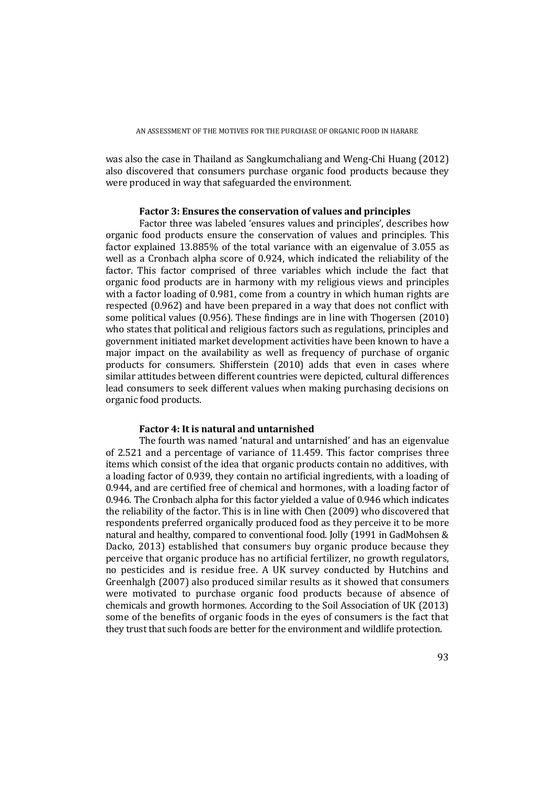was also the case in Thailand as Sangkumchaliang and Weng-Chi Huang (2012) also discovered that consumers purchase organic food products because they were produced in way that safeguarded the environment.

### **Factor 3: Ensures the conservation of values and principles**

Factor three was labeled 'ensures values and principles', describes how organic food products ensure the conservation of values and principles. This factor explained  $13.885\%$  of the total variance with an eigenvalue of 3.055 as well as a Cronbach alpha score of 0.924, which indicated the reliability of the factor. This factor comprised of three variables which include the fact that organic food products are in harmony with my religious views and principles with a factor loading of  $0.981$ , come from a country in which human rights are respected (0.962) and have been prepared in a way that does not conflict with some political values  $(0.956)$ . These findings are in line with Thogersen  $(2010)$ who states that political and religious factors such as regulations, principles and government initiated market development activities have been known to have a major impact on the availability as well as frequency of purchase of organic products for consumers. Shifferstein (2010) adds that even in cases where similar attitudes between different countries were depicted, cultural differences lead consumers to seek different values when making purchasing decisions on organic food products.

#### **Factor 4: It is natural and untarnished**

The fourth was named 'natural and untarnished' and has an eigenvalue of  $2.521$  and a percentage of variance of  $11.459$ . This factor comprises three items which consist of the idea that organic products contain no additives, with a loading factor of 0.939, they contain no artificial ingredients, with a loading of 0.944, and are certified free of chemical and hormones, with a loading factor of 0.946. The Cronbach alpha for this factor vielded a value of  $0.946$  which indicates the reliability of the factor. This is in line with Chen (2009) who discovered that respondents preferred organically produced food as they perceive it to be more natural and healthy, compared to conventional food. Jolly (1991 in GadMohsen & Dacko, 2013) established that consumers buy organic produce because they perceive that organic produce has no artificial fertilizer, no growth regulators, no pesticides and is residue free. A UK survey conducted by Hutchins and Greenhalgh (2007) also produced similar results as it showed that consumers were motivated to purchase organic food products because of absence of chemicals and growth hormones. According to the Soil Association of UK (2013) some of the benefits of organic foods in the eyes of consumers is the fact that they trust that such foods are better for the environment and wildlife protection.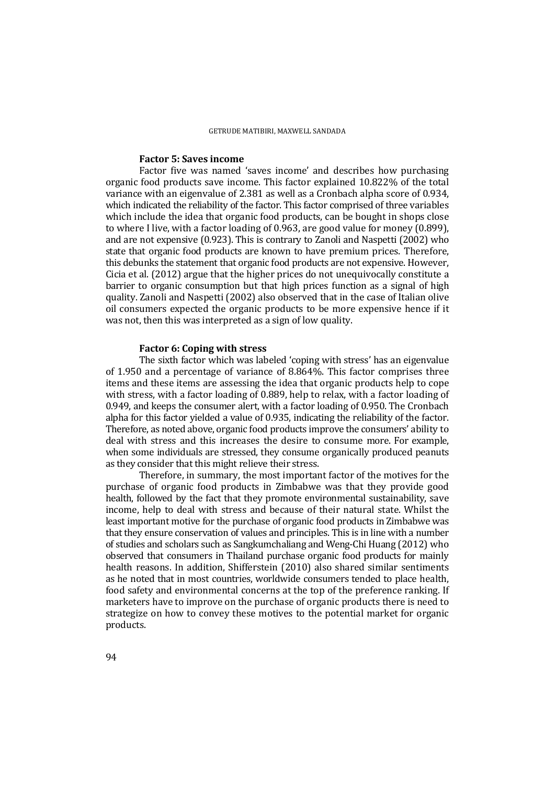### **Factor 5: Saves income**

Factor five was named 'saves income' and describes how purchasing organic food products save income. This factor explained 10.822% of the total variance with an eigenvalue of 2.381 as well as a Cronbach alpha score of 0.934, which indicated the reliability of the factor. This factor comprised of three variables which include the idea that organic food products, can be bought in shops close to where I live, with a factor loading of 0.963, are good value for money  $(0.899)$ , and are not expensive  $(0.923)$ . This is contrary to Zanoli and Naspetti  $(2002)$  who state that organic food products are known to have premium prices. Therefore, this debunks the statement that organic food products are not expensive. However, Cicia et al.  $(2012)$  argue that the higher prices do not unequivocally constitute a barrier to organic consumption but that high prices function as a signal of high quality. Zanoli and Naspetti (2002) also observed that in the case of Italian olive oil consumers expected the organic products to be more expensive hence if it was not, then this was interpreted as a sign of low quality.

#### **Factor 6: Coping with stress**

The sixth factor which was labeled 'coping with stress' has an eigenvalue of 1.950 and a percentage of variance of 8.864%. This factor comprises three items and these items are assessing the idea that organic products help to cope with stress, with a factor loading of 0.889, help to relax, with a factor loading of  $0.949$ , and keeps the consumer alert, with a factor loading of  $0.950$ . The Cronbach alpha for this factor yielded a value of 0.935, indicating the reliability of the factor. Therefore, as noted above, organic food products improve the consumers' ability to deal with stress and this increases the desire to consume more. For example, when some individuals are stressed, they consume organically produced peanuts as they consider that this might relieve their stress.

Therefore, in summary, the most important factor of the motives for the purchase of organic food products in Zimbabwe was that they provide good health, followed by the fact that they promote environmental sustainability, save income, help to deal with stress and because of their natural state. Whilst the least important motive for the purchase of organic food products in Zimbabwe was that they ensure conservation of values and principles. This is in line with a number of studies and scholars such as Sangkumchaliang and Weng-Chi Huang (2012) who observed that consumers in Thailand purchase organic food products for mainly health reasons. In addition, Shifferstein (2010) also shared similar sentiments as he noted that in most countries, worldwide consumers tended to place health, food safety and environmental concerns at the top of the preference ranking. If marketers have to improve on the purchase of organic products there is need to strategize on how to convey these motives to the potential market for organic products.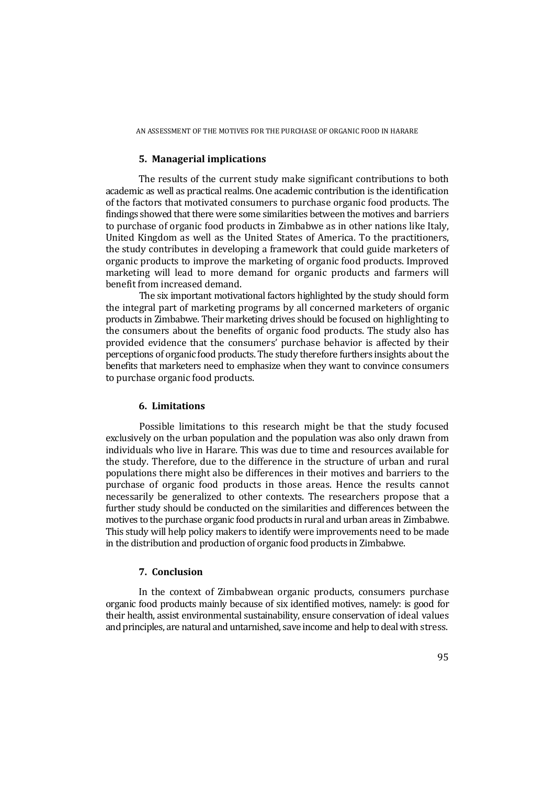### **5. Managerial implications**

The results of the current study make significant contributions to both academic as well as practical realms. One academic contribution is the identification of the factors that motivated consumers to purchase organic food products. The findings showed that there were some similarities between the motives and barriers to purchase of organic food products in Zimbabwe as in other nations like Italy, United Kingdom as well as the United States of America. To the practitioners, the study contributes in developing a framework that could guide marketers of organic products to improve the marketing of organic food products. Improved marketing will lead to more demand for organic products and farmers will benefit from increased demand.

The six important motivational factors highlighted by the study should form the integral part of marketing programs by all concerned marketers of organic products in Zimbabwe. Their marketing drives should be focused on highlighting to the consumers about the benefits of organic food products. The study also has provided evidence that the consumers' purchase behavior is affected by their perceptions of organic food products. The study therefore furthers insights about the benefits that marketers need to emphasize when they want to convince consumers to purchase organic food products.

### **6. Limitations**

Possible limitations to this research might be that the study focused exclusively on the urban population and the population was also only drawn from individuals who live in Harare. This was due to time and resources available for the study. Therefore, due to the difference in the structure of urban and rural populations there might also be differences in their motives and barriers to the purchase of organic food products in those areas. Hence the results cannot necessarily be generalized to other contexts. The researchers propose that a further study should be conducted on the similarities and differences between the motives to the purchase organic food products in rural and urban areas in Zimbabwe. This study will help policy makers to identify were improvements need to be made in the distribution and production of organic food products in Zimbabwe.

## **7. Conclusion**

In the context of Zimbabwean organic products, consumers purchase organic food products mainly because of six identified motives, namely: is good for their health, assist environmental sustainability, ensure conservation of ideal values and principles, are natural and untarnished, save income and help to deal with stress.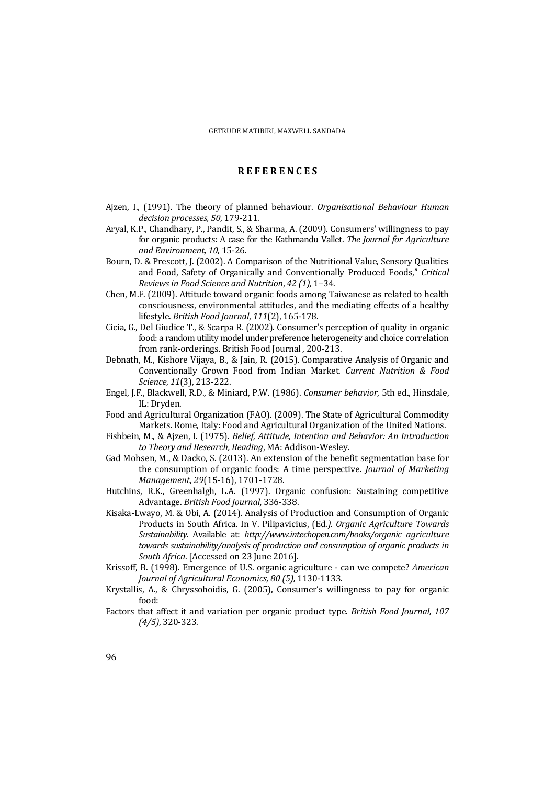### **R E F E R E N C E S**

- Ajzen, I., (1991). The theory of planned behaviour. *Organisational Behaviour Human decision processes, 50*, 179‐211.
- Aryal, K.P., Chandhary, P., Pandit, S., & Sharma, A. (2009). Consumers' willingness to pay for organic products: A case for the Kathmandu Vallet. The *Journal for Agriculture and Environment, 10*, 15‐26.
- Bourn, D. & Prescott, J. (2002). A Comparison of the Nutritional Value, Sensory Qualities and Food, Safety of Organically and Conventionally Produced Foods," Critical *Reviews in Food Science and Nutrition*, *42 (1),* 1–34.
- Chen, M.F. (2009). Attitude toward organic foods among Taiwanese as related to health consciousness, environmental attitudes, and the mediating effects of a healthy lifestyle. *British Food Journal*, *111*(2), 165‐178.
- Cicia, G., Del Giudice T., & Scarpa R. (2002). Consumer's perception of quality in organic food: a random utility model under preference heterogeneity and choice correlation from rank-orderings. British Food Journal, 200-213.
- Debnath, M., Kishore Vijaya, B., & Jain, R. (2015). Comparative Analysis of Organic and Conventionally Grown Food from Indian Market. *Current Nutrition & Food Science*, *11*(3), 213‐222.
- Engel, J.F., Blackwell, R.D., & Miniard, P.W. (1986). *Consumer behavior*, 5th ed., Hinsdale, IL: Dryden.
- Food and Agricultural Organization (FAO). (2009). The State of Agricultural Commodity Markets, Rome, Italy: Food and Agricultural Organization of the United Nations.
- Fishbein, M., & Ajzen, I. (1975). *Belief, Attitude, Intention and Behavior: An Introduction to Theory and Research, Reading*, MA: Addison‐Wesley.
- Gad Mohsen, M., & Dacko, S. (2013). An extension of the benefit segmentation base for the consumption of organic foods: A time perspective. *Journal of Marketing Management, 29*(15-16), 1701-1728.
- Hutchins, R.K., Greenhalgh, L.A. (1997). Organic confusion: Sustaining competitive Advantage. *British Food Journal,* 336‐338.
- Kisaka-Lwayo, M. & Obi, A. (2014). Analysis of Production and Consumption of Organic Products in South Africa. In V. Pilipavicius, (Ed*.). Organic Agriculture Towards Sustainability.* Available at: *http://www.intechopen.com/books/organic agriculture towards sustainability/analysis of production and consumption of organic products in South Africa*. [Accessed on 23 June 2016].
- Krissoff, B. (1998). Emergence of U.S. organic agriculture can we compete? *American Journal of Agricultural Economics, 80 (5),* 1130‐1133.
- Krystallis, A., & Chryssohoidis, G. (2005), Consumer's willingness to pay for organic food:
- Factors that affect it and variation per organic product type. *British Food Journal, 107 (4/5)*, 320‐323.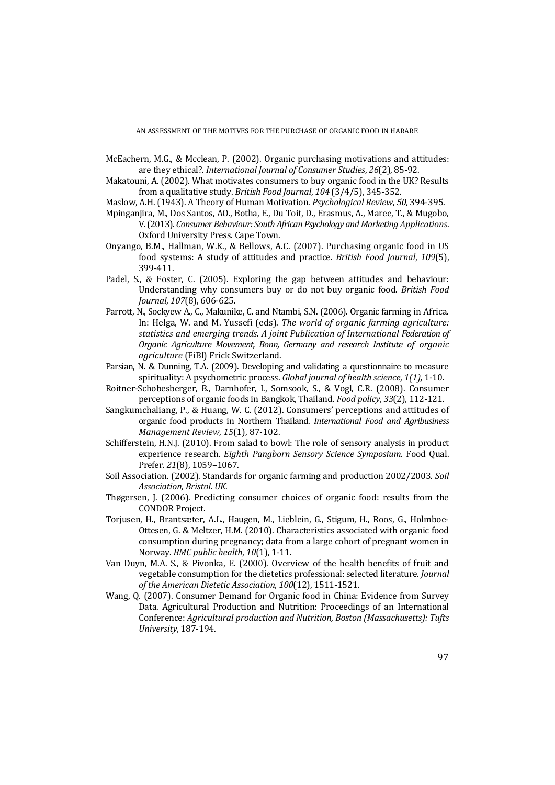AN ASSESSMENT OF THE MOTIVES FOR THE PURCHASE OF ORGANIC FOOD IN HARARE

- McEachern, M.G., & Mcclean, P. (2002). Organic purchasing motivations and attitudes: are they ethical?. *International Journal of Consumer Studies*, *26*(2), 85‐92.
- Makatouni, A. (2002). What motivates consumers to buy organic food in the UK? Results from a qualitative study. *British Food Journal*, *104* (3/4/5), 345‐352.
- Maslow, A.H. (1943). A Theory of Human Motivation. *Psychological Review, 50, 394-395.*
- Mpinganjira, M., Dos Santos, AO., Botha, E., Du Toit, D., Erasmus, A., Maree, T., & Mugobo, V. (2013). *ConsumerBehaviour: South African Psychology and Marketing Applications*. Oxford University Press. Cape Town.
- Onyango, B.M., Hallman, W.K., & Bellows, A.C. (2007). Purchasing organic food in US food systems: A study of attitudes and practice. *British Food Journal*, *109*(5), 399‐411.
- Padel,  $S_n$ , & Foster, C. (2005). Exploring the gap between attitudes and behaviour: Understanding why consumers buy or do not buy organic food. *British Food Journal,* 107(8), 606-625.
- Parrott, N., Sockyew A., C., Makunike, C. and Ntambi, S.N. (2006). Organic farming in Africa. In: Helga, W. and M. Yussefi (eds). The world of organic farming agriculture: *statistics and emerging trends. A joint Publication of International Federation of Organic Agriculture Movement, Bonn, Germany and research Institute of organic agriculture* (FiBl) Frick Switzerland.
- Parsian, N. & Dunning, T.A. (2009). Developing and validating a questionnaire to measure spirituality: A psychometric process. *Global journal of health science*, *1(1),* 1‐10.
- Roitner-Schobesberger, B., Darnhofer, I., Somsook, S., & Vogl, C.R. (2008). Consumer perceptions of organic foods in Bangkok, Thailand. *Food policy*, *33*(2), 112‐121.
- Sangkumchaliang, P., & Huang, W. C. (2012). Consumers' perceptions and attitudes of organic food products in Northern Thailand. *International Food and Agribusiness Management Review*, *15*(1), 87‐102.
- Schifferstein, H.N.J. (2010). From salad to bowl: The role of sensory analysis in product experience research. *Eighth Pangborn Sensory Science Symposium*. Food Qual. Prefer. 21(8), 1059-1067.
- Soil Association. (2002). Standards for organic farming and production 2002/2003. Soil *Association, Bristol. UK*.
- Thøgersen, J. (2006). Predicting consumer choices of organic food: results from the CONDOR Project.
- Torjusen, H., Brantsæter, A.L., Haugen, M., Lieblein, G., Stigum, H., Roos, G., Holmboe-Ottesen, G. & Meltzer, H.M. (2010). Characteristics associated with organic food consumption during pregnancy; data from a large cohort of pregnant women in Norway. *BMC public health*, *10*(1), 1‐11.
- Van Duyn, M.A. S., & Pivonka, E. (2000). Overview of the health benefits of fruit and vegetable consumption for the dietetics professional: selected literature. *Journal of the American Dietetic Association*, *100*(12), 1511‐1521.
- Wang, Q. (2007). Consumer Demand for Organic food in China: Evidence from Survey Data. Agricultural Production and Nutrition: Proceedings of an International Conference: *Agricultural production and Nutrition, Boston (Massachusetts): Tufts University*, 187‐194.